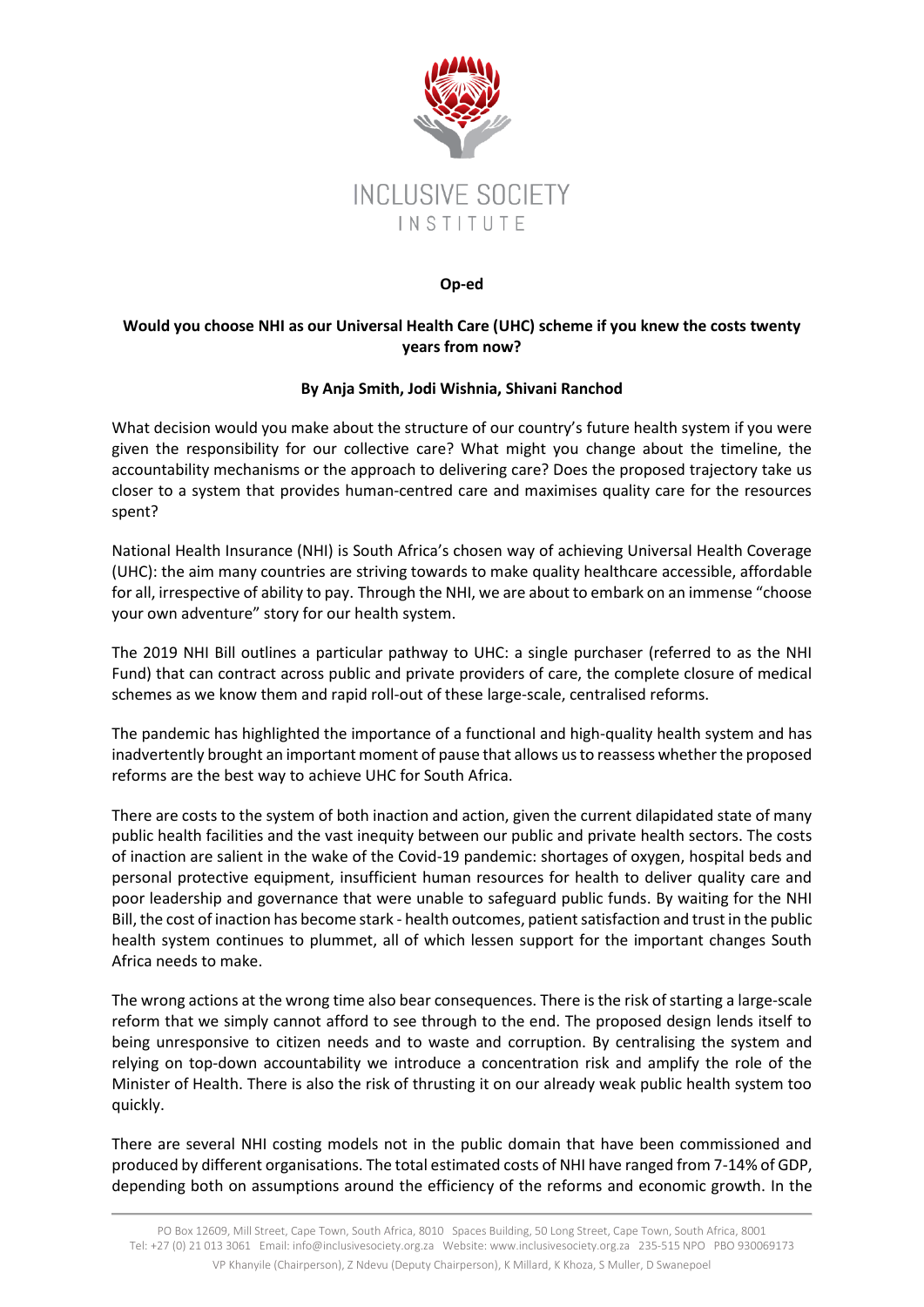

## **Op-ed**

## **Would you choose NHI as our Universal Health Care (UHC) scheme if you knew the costs twenty years from now?**

## **By Anja Smith, Jodi Wishnia, Shivani Ranchod**

What decision would you make about the structure of our country's future health system if you were given the responsibility for our collective care? What might you change about the timeline, the accountability mechanisms or the approach to delivering care? Does the proposed trajectory take us closer to a system that provides human-centred care and maximises quality care for the resources spent?

National Health Insurance (NHI) is South Africa's chosen way of achieving Universal Health Coverage (UHC): the aim many countries are striving towards to make quality healthcare accessible, affordable for all, irrespective of ability to pay. Through the NHI, we are about to embark on an immense "choose your own adventure" story for our health system.

The 2019 NHI Bill outlines a particular pathway to UHC: a single purchaser (referred to as the NHI Fund) that can contract across public and private providers of care, the complete closure of medical schemes as we know them and rapid roll-out of these large-scale, centralised reforms.

The pandemic has highlighted the importance of a functional and high-quality health system and has inadvertently brought an important moment of pause that allows us to reassess whether the proposed reforms are the best way to achieve UHC for South Africa.

There are costs to the system of both inaction and action, given the current dilapidated state of many public health facilities and the vast inequity between our public and private health sectors. The costs of inaction are salient in the wake of the Covid-19 pandemic: shortages of oxygen, hospital beds and personal protective equipment, insufficient human resources for health to deliver quality care and poor leadership and governance that were unable to safeguard public funds. By waiting for the NHI Bill, the cost of inaction has become stark - health outcomes, patient satisfaction and trust in the public health system continues to plummet, all of which lessen support for the important changes South Africa needs to make.

The wrong actions at the wrong time also bear consequences. There is the risk of starting a large-scale reform that we simply cannot afford to see through to the end. The proposed design lends itself to being unresponsive to citizen needs and to waste and corruption. By centralising the system and relying on top-down accountability we introduce a concentration risk and amplify the role of the Minister of Health. There is also the risk of thrusting it on our already weak public health system too quickly.

There are several NHI costing models not in the public domain that have been commissioned and produced by different organisations. The total estimated costs of NHI have ranged from 7-14% of GDP, depending both on assumptions around the efficiency of the reforms and economic growth. In the